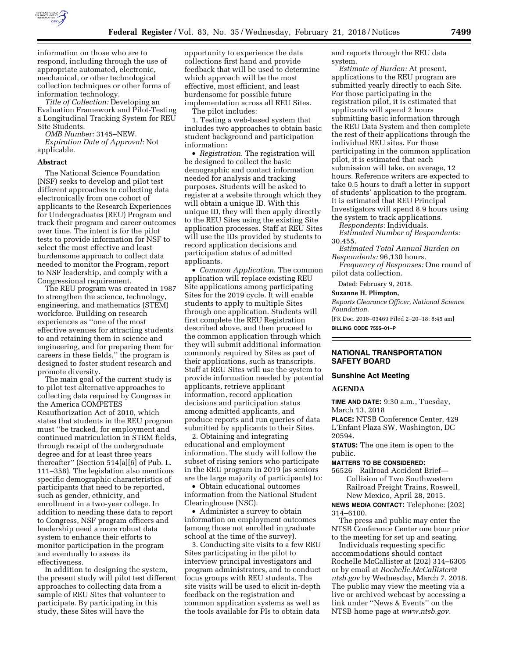

information on those who are to respond, including through the use of appropriate automated, electronic, mechanical, or other technological collection techniques or other forms of information technology.

*Title of Collection:* Developing an Evaluation Framework and Pilot-Testing a Longitudinal Tracking System for REU Site Students.

*OMB Number:* 3145–NEW.

*Expiration Date of Approval:* Not applicable.

#### **Abstract**

The National Science Foundation (NSF) seeks to develop and pilot test different approaches to collecting data electronically from one cohort of applicants to the Research Experiences for Undergraduates (REU) Program and track their program and career outcomes over time. The intent is for the pilot tests to provide information for NSF to select the most effective and least burdensome approach to collect data needed to monitor the Program, report to NSF leadership, and comply with a Congressional requirement.

The REU program was created in 1987 to strengthen the science, technology, engineering, and mathematics (STEM) workforce. Building on research experiences as ''one of the most effective avenues for attracting students to and retaining them in science and engineering, and for preparing them for careers in these fields,'' the program is designed to foster student research and promote diversity.

The main goal of the current study is to pilot test alternative approaches to collecting data required by Congress in the America COMPETES Reauthorization Act of 2010, which states that students in the REU program must ''be tracked, for employment and continued matriculation in STEM fields, through receipt of the undergraduate degree and for at least three years thereafter'' (Section 514[a][6] of Pub. L. 111–358). The legislation also mentions specific demographic characteristics of participants that need to be reported, such as gender, ethnicity, and enrollment in a two-year college. In addition to needing these data to report to Congress, NSF program officers and leadership need a more robust data system to enhance their efforts to monitor participation in the program and eventually to assess its effectiveness.

In addition to designing the system, the present study will pilot test different approaches to collecting data from a sample of REU Sites that volunteer to participate. By participating in this study, these Sites will have the

opportunity to experience the data collections first hand and provide feedback that will be used to determine which approach will be the most effective, most efficient, and least burdensome for possible future implementation across all REU Sites.

The pilot includes: 1. Testing a web-based system that includes two approaches to obtain basic

student background and participation information:

• *Registration*. The registration will be designed to collect the basic demographic and contact information needed for analysis and tracking purposes. Students will be asked to register at a website through which they will obtain a unique ID. With this unique ID, they will then apply directly to the REU Sites using the existing Site application processes. Staff at REU Sites will use the IDs provided by students to record application decisions and participation status of admitted applicants.

• *Common Application*. The common application will replace existing REU Site applications among participating Sites for the 2019 cycle. It will enable students to apply to multiple Sites through one application. Students will first complete the REU Registration described above, and then proceed to the common application through which they will submit additional information commonly required by Sites as part of their applications, such as transcripts. Staff at REU Sites will use the system to provide information needed by potential applicants, retrieve applicant information, record application decisions and participation status among admitted applicants, and produce reports and run queries of data submitted by applicants to their Sites.

2. Obtaining and integrating educational and employment information. The study will follow the subset of rising seniors who participate in the REU program in 2019 (as seniors are the large majority of participants) to:

• Obtain educational outcomes information from the National Student Clearinghouse (NSC).

• Administer a survey to obtain information on employment outcomes (among those not enrolled in graduate school at the time of the survey).

3. Conducting site visits to a few REU Sites participating in the pilot to interview principal investigators and program administrators, and to conduct focus groups with REU students. The site visits will be used to elicit in-depth feedback on the registration and common application systems as well as the tools available for PIs to obtain data

and reports through the REU data system.

*Estimate of Burden:* At present, applications to the REU program are submitted yearly directly to each Site. For those participating in the registration pilot, it is estimated that applicants will spend 2 hours submitting basic information through the REU Data System and then complete the rest of their applications through the individual REU sites. For those participating in the common application pilot, it is estimated that each submission will take, on average, 12 hours. Reference writers are expected to take 0.5 hours to draft a letter in support of students' application to the program. It is estimated that REU Principal Investigators will spend 8.9 hours using the system to track applications.

*Respondents:* Individuals.

*Estimated Number of Respondents:*  30,455.

*Estimated Total Annual Burden on Respondents:* 96,130 hours.

*Frequency of Responses:* One round of pilot data collection.

Dated: February 9, 2018.

#### **Suzanne H. Plimpton,**

*Reports Clearance Officer, National Science Foundation.* 

[FR Doc. 2018–03469 Filed 2–20–18; 8:45 am] **BILLING CODE 7555–01–P** 

# **NATIONAL TRANSPORTATION SAFETY BOARD**

#### **Sunshine Act Meeting**

#### **AGENDA**

**TIME AND DATE:** 9:30 a.m., Tuesday, March 13, 2018

**PLACE:** NTSB Conference Center, 429 L'Enfant Plaza SW, Washington, DC 20594.

**STATUS:** The one item is open to the public.

#### **MATTERS TO BE CONSIDERED:**

56526 Railroad Accident Brief— Collision of Two Southwestern Railroad Freight Trains, Roswell, New Mexico, April 28, 2015.

**NEWS MEDIA CONTACT:** Telephone: (202) 314–6100.

The press and public may enter the NTSB Conference Center one hour prior to the meeting for set up and seating.

Individuals requesting specific accommodations should contact Rochelle McCallister at (202) 314–6305 or by email at *[Rochelle.McCallister@](mailto:Rochelle.McCallister@ntsb.gov) [ntsb.gov](mailto:Rochelle.McCallister@ntsb.gov)* by Wednesday, March 7, 2018. The public may view the meeting via a live or archived webcast by accessing a link under ''News & Events'' on the NTSB home page at *[www.ntsb.gov.](http://www.ntsb.gov)*